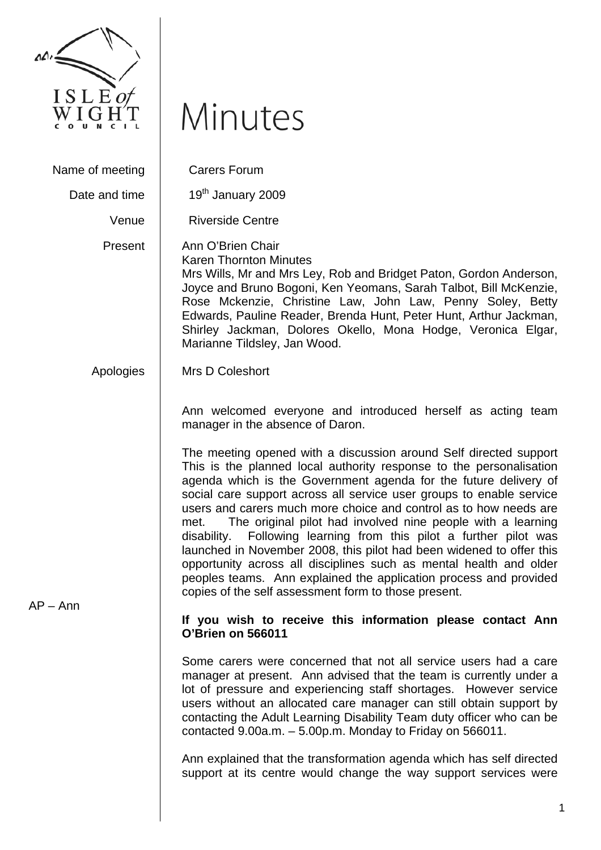

## Minutes

Name of meeting | Carers Forum Date and time  $\vert$  19<sup>th</sup> January 2009 Venue | Riverside Centre Present **Apologies** Ann O'Brien Chair Karen Thornton Minutes Mrs Wills, Mr and Mrs Ley, Rob and Bridget Paton, Gordon Anderson, Joyce and Bruno Bogoni, Ken Yeomans, Sarah Talbot, Bill McKenzie, Rose Mckenzie, Christine Law, John Law, Penny Soley, Betty Edwards, Pauline Reader, Brenda Hunt, Peter Hunt, Arthur Jackman, Shirley Jackman, Dolores Okello, Mona Hodge, Veronica Elgar, Marianne Tildsley, Jan Wood. Mrs D Coleshort Ann welcomed everyone and introduced herself as acting team manager in the absence of Daron. The meeting opened with a discussion around Self directed support This is the planned local authority response to the personalisation agenda which is the Government agenda for the future delivery of social care support across all service user groups to enable service users and carers much more choice and control as to how needs are met. The original pilot had involved nine people with a learning disability. Following learning from this pilot a further pilot was launched in November 2008, this pilot had been widened to offer this opportunity across all disciplines such as mental health and older peoples teams. Ann explained the application process and provided copies of the self assessment form to those present.

AP – Ann

## **If you wish to receive this information please contact Ann O'Brien on 566011**

Some carers were concerned that not all service users had a care manager at present. Ann advised that the team is currently under a lot of pressure and experiencing staff shortages. However service users without an allocated care manager can still obtain support by contacting the Adult Learning Disability Team duty officer who can be contacted 9.00a.m. – 5.00p.m. Monday to Friday on 566011.

Ann explained that the transformation agenda which has self directed support at its centre would change the way support services were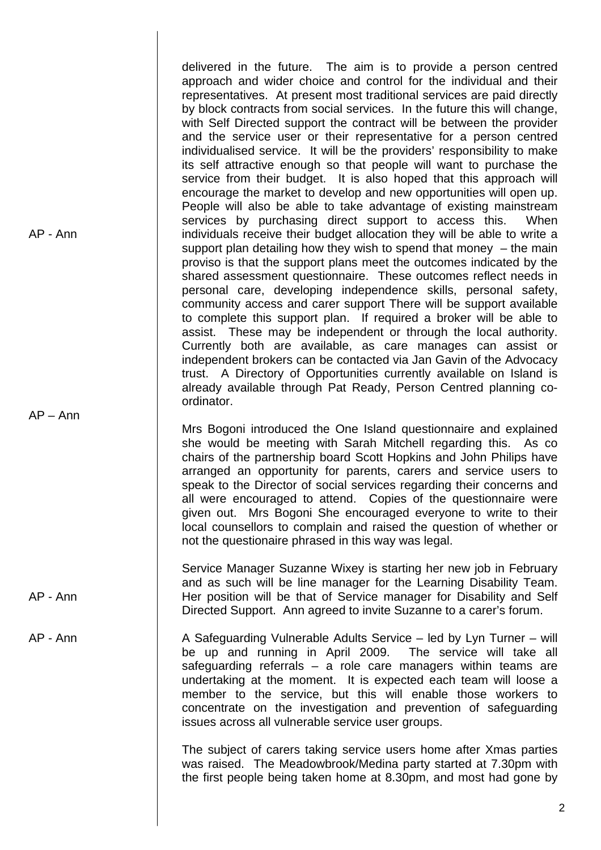delivered in the future. The aim is to provide a person centred approach and wider choice and control for the individual and their representatives. At present most traditional services are paid directly by block contracts from social services. In the future this will change, with Self Directed support the contract will be between the provider and the service user or their representative for a person centred individualised service. It will be the providers' responsibility to make its self attractive enough so that people will want to purchase the service from their budget. It is also hoped that this approach will encourage the market to develop and new opportunities will open up. People will also be able to take advantage of existing mainstream services by purchasing direct support to access this. When individuals receive their budget allocation they will be able to write a support plan detailing how they wish to spend that money  $-$  the main proviso is that the support plans meet the outcomes indicated by the shared assessment questionnaire. These outcomes reflect needs in personal care, developing independence skills, personal safety, community access and carer support There will be support available to complete this support plan. If required a broker will be able to assist. These may be independent or through the local authority. Currently both are available, as care manages can assist or independent brokers can be contacted via Jan Gavin of the Advocacy trust. A Directory of Opportunities currently available on Island is already available through Pat Ready, Person Centred planning coordinator.

Mrs Bogoni introduced the One Island questionnaire and explained she would be meeting with Sarah Mitchell regarding this. As co chairs of the partnership board Scott Hopkins and John Philips have arranged an opportunity for parents, carers and service users to speak to the Director of social services regarding their concerns and all were encouraged to attend. Copies of the questionnaire were given out. Mrs Bogoni She encouraged everyone to write to their local counsellors to complain and raised the question of whether or not the questionaire phrased in this way was legal.

AP - Ann Service Manager Suzanne Wixey is starting her new job in February and as such will be line manager for the Learning Disability Team. Her position will be that of Service manager for Disability and Self Directed Support. Ann agreed to invite Suzanne to a carer's forum.

AP - Ann

AP – Ann

AP - Ann A Safeguarding Vulnerable Adults Service – led by Lyn Turner – will be up and running in April 2009. The service will take all safeguarding referrals – a role care managers within teams are undertaking at the moment. It is expected each team will loose a member to the service, but this will enable those workers to concentrate on the investigation and prevention of safeguarding issues across all vulnerable service user groups.

> The subject of carers taking service users home after Xmas parties was raised. The Meadowbrook/Medina party started at 7.30pm with the first people being taken home at 8.30pm, and most had gone by